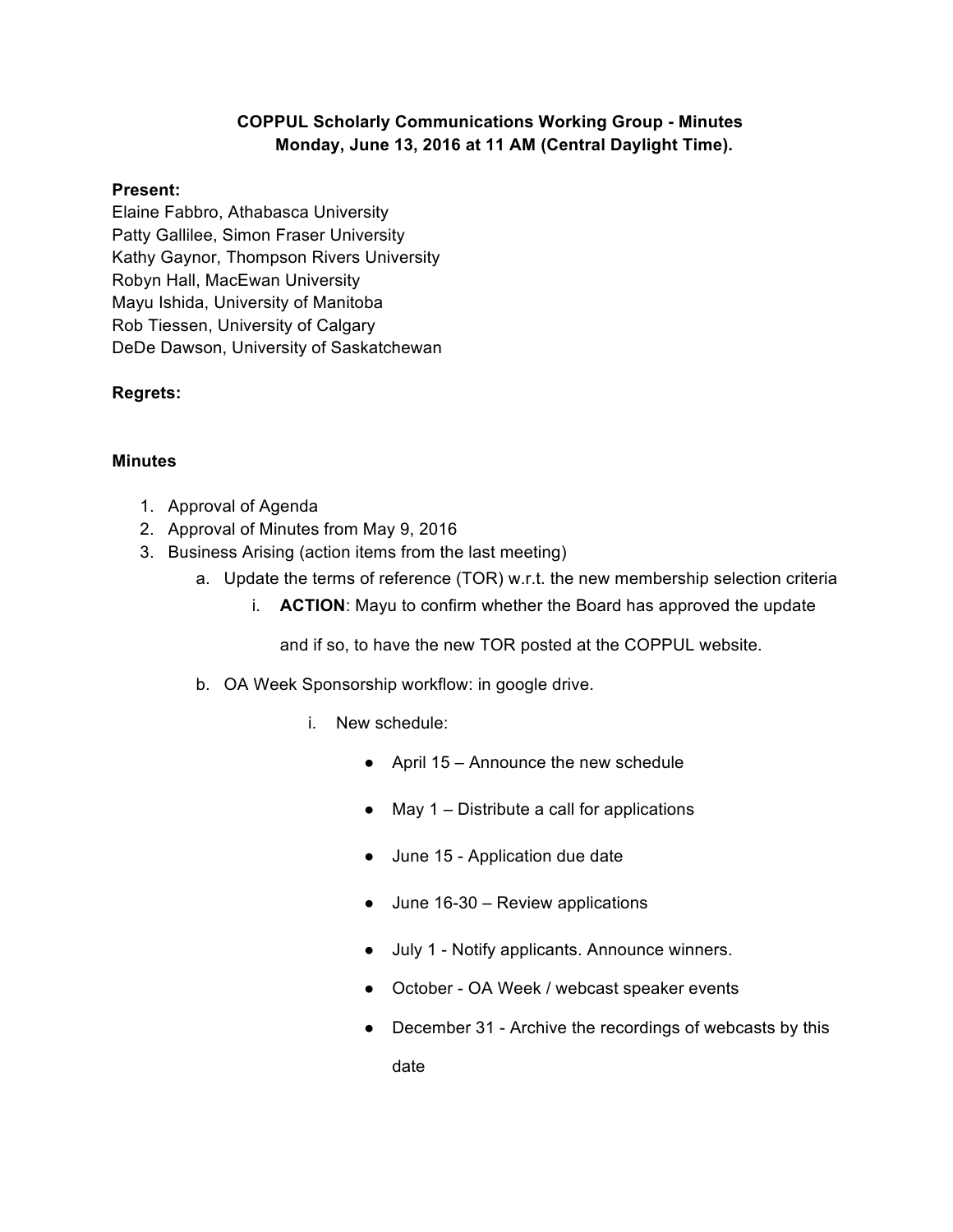## **COPPUL Scholarly Communications Working Group - Minutes Monday, June 13, 2016 at 11 AM (Central Daylight Time).**

## **Present:**

Elaine Fabbro, Athabasca University Patty Gallilee, Simon Fraser University Kathy Gaynor, Thompson Rivers University Robyn Hall, MacEwan University Mayu Ishida, University of Manitoba Rob Tiessen, University of Calgary DeDe Dawson, University of Saskatchewan

## **Regrets:**

## **Minutes**

- 1. Approval of Agenda
- 2. Approval of Minutes from May 9, 2016
- 3. Business Arising (action items from the last meeting)
	- a. Update the terms of reference (TOR) w.r.t. the new membership selection criteria
		- i. **ACTION**: Mayu to confirm whether the Board has approved the update

and if so, to have the new TOR posted at the COPPUL website.

- b. OA Week Sponsorship workflow: in google drive.
	- i. New schedule:
		- $\bullet$  April 15 Announce the new schedule
		- May 1 Distribute a call for applications
		- June 15 Application due date
		- June 16-30 Review applications
		- July 1 Notify applicants. Announce winners.
		- October OA Week / webcast speaker events
		- December 31 Archive the recordings of webcasts by this date